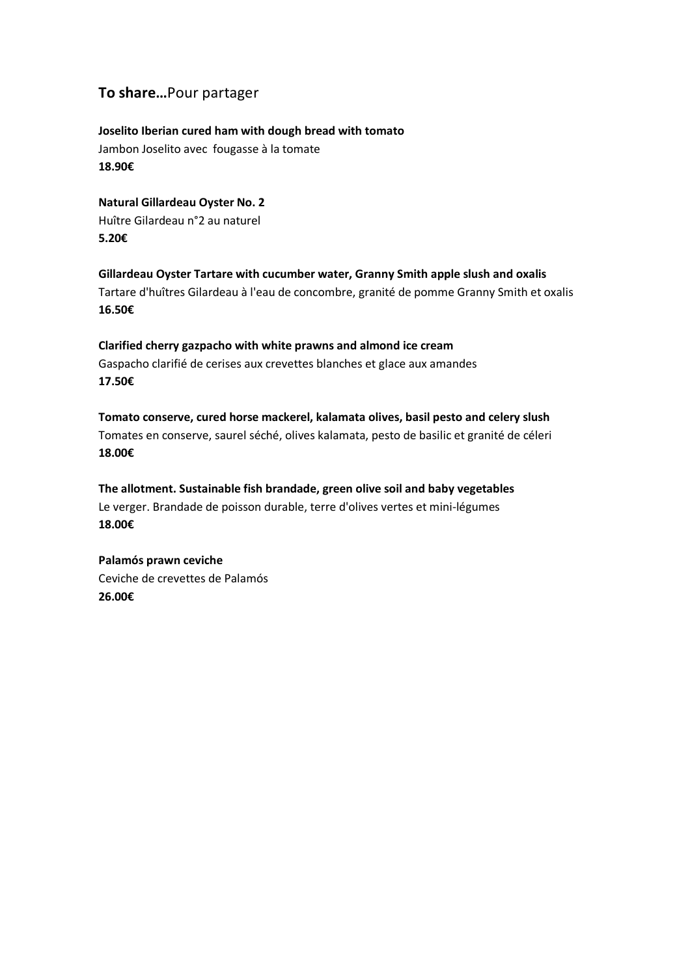# **To share…**Pour partager

**Joselito Iberian cured ham with dough bread with tomato** Jambon Joselito avec fougasse à la tomate **18.90€**

**Natural Gillardeau Oyster No. 2**  Huître Gilardeau n°2 au naturel **5.20€**

**Gillardeau Oyster Tartare with cucumber water, Granny Smith apple slush and oxalis** Tartare d'huîtres Gilardeau à l'eau de concombre, granité de pomme Granny Smith et oxalis **16.50€**

**Clarified cherry gazpacho with white prawns and almond ice cream** Gaspacho clarifié de cerises aux crevettes blanches et glace aux amandes **17.50€**

**Tomato conserve, cured horse mackerel, kalamata olives, basil pesto and celery slush** Tomates en conserve, saurel séché, olives kalamata, pesto de basilic et granité de céleri **18.00€**

**The allotment. Sustainable fish brandade, green olive soil and baby vegetables** Le verger. Brandade de poisson durable, terre d'olives vertes et mini-légumes **18.00€**

**Palamós prawn ceviche** Ceviche de crevettes de Palamós **26.00€**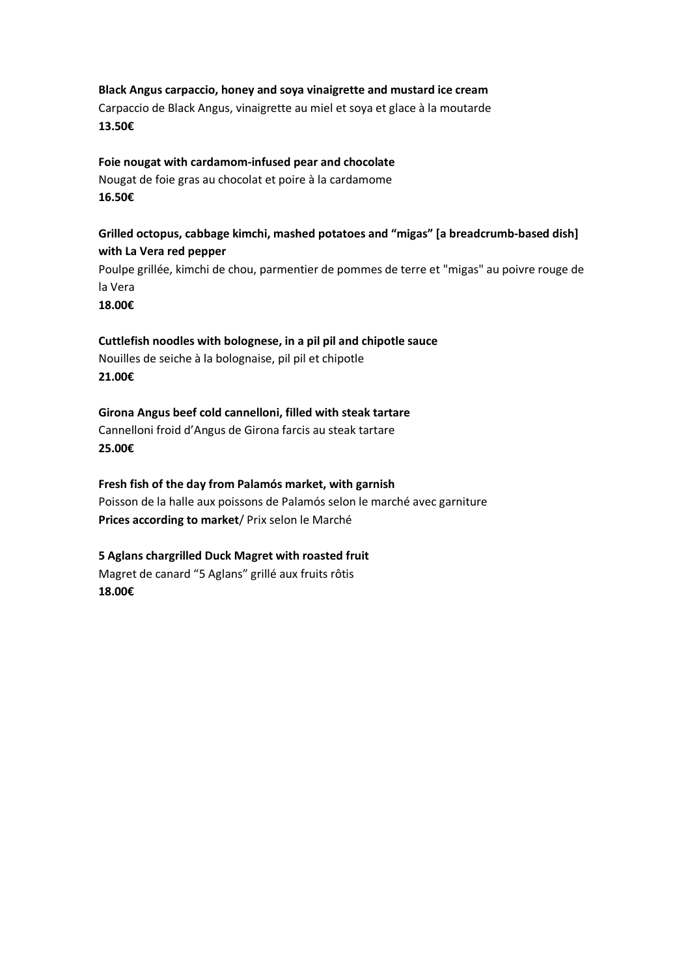#### **Black Angus carpaccio, honey and soya vinaigrette and mustard ice cream**

Carpaccio de Black Angus, vinaigrette au miel et soya et glace à la moutarde **13.50€**

#### **Foie nougat with cardamom-infused pear and chocolate**

Nougat de foie gras au chocolat et poire à la cardamome **16.50€**

## **Grilled octopus, cabbage kimchi, mashed potatoes and "migas" [a breadcrumb-based dish] with La Vera red pepper**

Poulpe grillée, kimchi de chou, parmentier de pommes de terre et "migas" au poivre rouge de la Vera

**18.00€**

#### **Cuttlefish noodles with bolognese, in a pil pil and chipotle sauce**

Nouilles de seiche à la bolognaise, pil pil et chipotle **21.00€**

**Girona Angus beef cold cannelloni, filled with steak tartare** Cannelloni froid d'Angus de Girona farcis au steak tartare **25.00€**

**Fresh fish of the day from Palamós market, with garnish** Poisson de la halle aux poissons de Palamós selon le marché avec garniture **Prices according to market**/ Prix selon le Marché

### **5 Aglans chargrilled Duck Magret with roasted fruit** Magret de canard "5 Aglans" grillé aux fruits rôtis **18.00€**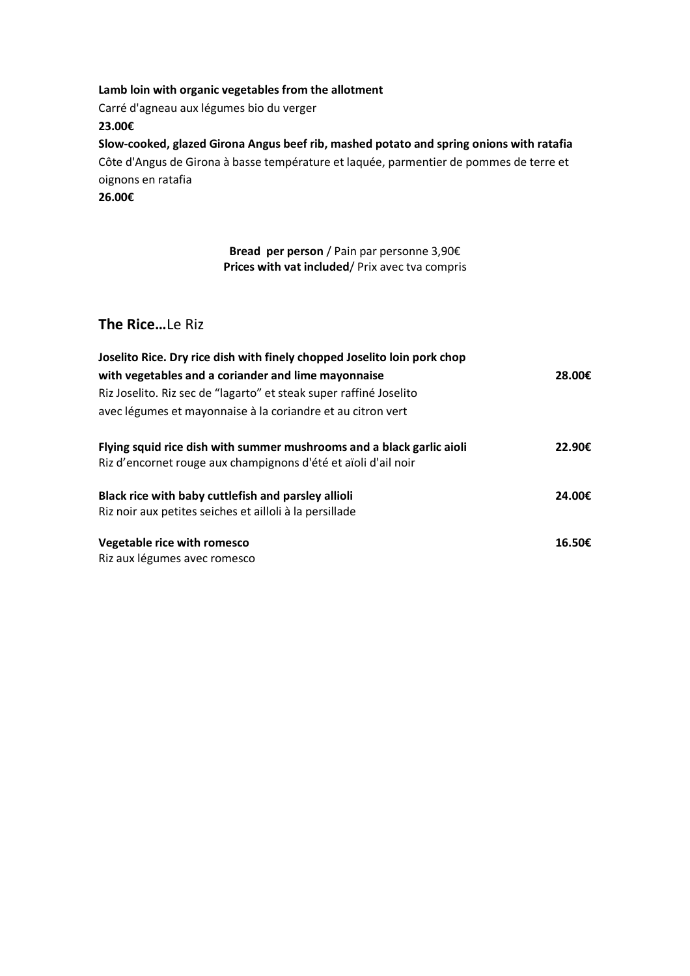**Lamb loin with organic vegetables from the allotment** Carré d'agneau aux légumes bio du verger **23.00€ Slow-cooked, glazed Girona Angus beef rib, mashed potato and spring onions with ratafia** Côte d'Angus de Girona à basse température et laquée, parmentier de pommes de terre et oignons en ratafia **26.00€**

> **Bread per person** / Pain par personne 3,90€ **Prices with vat included**/ Prix avec tva compris

## **The Rice…**Le Riz

| Joselito Rice. Dry rice dish with finely chopped Joselito loin pork chop                                                                |        |
|-----------------------------------------------------------------------------------------------------------------------------------------|--------|
| with vegetables and a coriander and lime mayonnaise                                                                                     | 28.00€ |
| Riz Joselito. Riz sec de "lagarto" et steak super raffiné Joselito                                                                      |        |
| avec légumes et mayonnaise à la coriandre et au citron vert                                                                             |        |
| Flying squid rice dish with summer mushrooms and a black garlic aioli<br>Riz d'encornet rouge aux champignons d'été et aïoli d'ail noir | 22.90€ |
| Black rice with baby cuttlefish and parsley allioli<br>Riz noir aux petites seiches et ailloli à la persillade                          | 24.00€ |
| Vegetable rice with romesco<br>Riz aux légumes avec romesco                                                                             | 16.50€ |